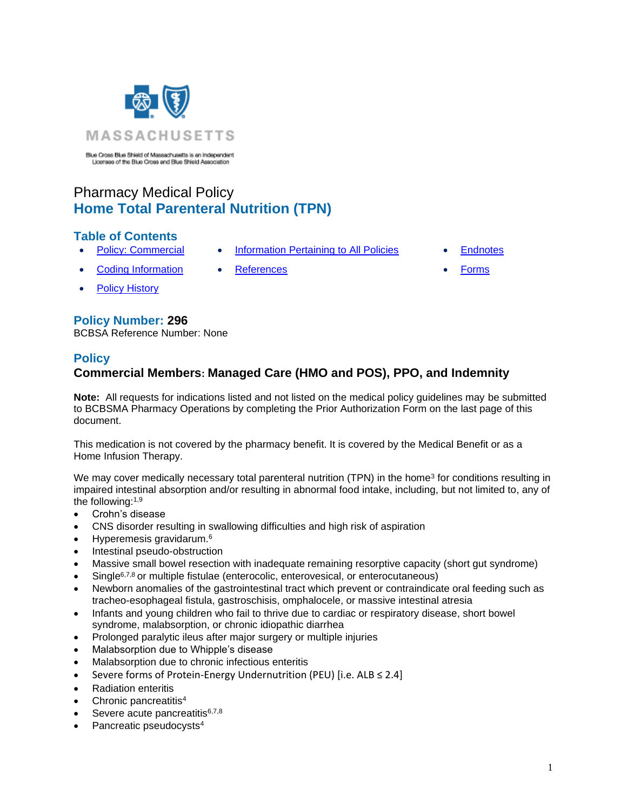

Blue Cross Blue Shield of Massachusetts is an Independent<br>Licenses of the Blue Cross and Blue Shield Association

# Pharmacy Medical Policy **Home Total Parenteral Nutrition (TPN)**

### **Table of Contents**

- - [Policy: Commercial](#page-0-0) [Information Pertaining to All Policies](#page-6-0) [Endnotes](#page-8-0)
- - [Coding Information](#page-1-0) [References](#page-7-0) [Forms](http://www.bluecrossma.org/medical-policies/sites/g/files/csphws2091/files/acquiadam-assets/023%20E%20Form%20medication%20prior%20auth%20instruction%20prn.pdf)
- **[Policy History](#page-6-1)**

### **Policy Number: 296**

<span id="page-0-0"></span>BCBSA Reference Number: None

### **Policy**

## **Commercial Members: Managed Care (HMO and POS), PPO, and Indemnity**

**Note:** All requests for indications listed and not listed on the medical policy guidelines may be submitted to BCBSMA Pharmacy Operations by completing the Prior Authorization Form on the last page of this document.

This medication is not covered by the pharmacy benefit. It is covered by the Medical Benefit or as a Home Infusion Therapy.

We may cover medically necessary total parenteral nutrition (TPN) in the home<sup>3</sup> for conditions resulting in impaired intestinal absorption and/or resulting in abnormal food intake, including, but not limited to, any of the following:1,9

- Crohn's disease
- CNS disorder resulting in swallowing difficulties and high risk of aspiration
- Hyperemesis gravidarum.<sup>6</sup>
- Intestinal pseudo-obstruction
- Massive small bowel resection with inadequate remaining resorptive capacity (short gut syndrome)
- Single<sup>6,7,8</sup> or multiple fistulae (enterocolic, enterovesical, or enterocutaneous)
- Newborn anomalies of the gastrointestinal tract which prevent or contraindicate oral feeding such as tracheo-esophageal fistula, gastroschisis, omphalocele, or massive intestinal atresia
- Infants and young children who fail to thrive due to cardiac or respiratory disease, short bowel syndrome, malabsorption, or chronic idiopathic diarrhea
- Prolonged paralytic ileus after major surgery or multiple injuries
- Malabsorption due to Whipple's disease
- Malabsorption due to chronic infectious enteritis
- Severe forms of Protein-Energy Undernutrition (PEU) [i.e. ALB ≤ 2.4]
- Radiation enteritis
- Chronic pancreatitis<sup>4</sup>
- Severe acute pancreatitis6,7,8
- Pancreatic pseudocysts<sup>4</sup>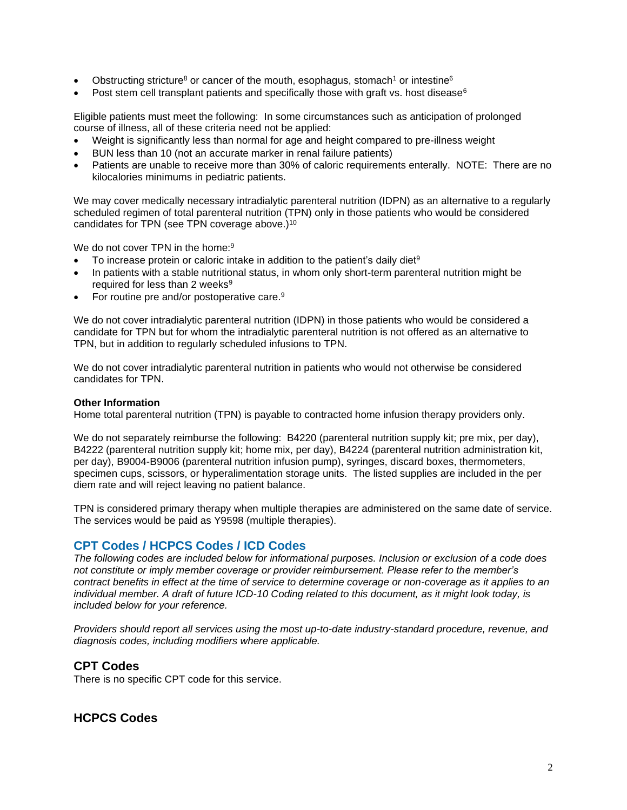- Obstructing stricture<sup>8</sup> or cancer of the mouth, esophagus, stomach<sup>1</sup> or intestine<sup>6</sup>
- Post stem cell transplant patients and specifically those with graft vs. host disease<sup>6</sup>

Eligible patients must meet the following: In some circumstances such as anticipation of prolonged course of illness, all of these criteria need not be applied:

- Weight is significantly less than normal for age and height compared to pre-illness weight
- BUN less than 10 (not an accurate marker in renal failure patients)
- Patients are unable to receive more than 30% of caloric requirements enterally. NOTE: There are no kilocalories minimums in pediatric patients.

We may cover medically necessary intradialytic parenteral nutrition (IDPN) as an alternative to a regularly scheduled regimen of total parenteral nutrition (TPN) only in those patients who would be considered candidates for TPN (see TPN coverage above.)<sup>10</sup>

We do not cover TPN in the home:<sup>9</sup>

- To increase protein or caloric intake in addition to the patient's daily diet<sup>9</sup>
- In patients with a stable nutritional status, in whom only short-term parenteral nutrition might be required for less than 2 weeks<sup>9</sup>
- For routine pre and/or postoperative care.<sup>9</sup>

We do not cover intradialytic parenteral nutrition (IDPN) in those patients who would be considered a candidate for TPN but for whom the intradialytic parenteral nutrition is not offered as an alternative to TPN, but in addition to regularly scheduled infusions to TPN.

We do not cover intradialytic parenteral nutrition in patients who would not otherwise be considered candidates for TPN.

#### **Other Information**

Home total parenteral nutrition (TPN) is payable to contracted home infusion therapy providers only.

We do not separately reimburse the following: B4220 (parenteral nutrition supply kit; pre mix, per day), B4222 (parenteral nutrition supply kit; home mix, per day), B4224 (parenteral nutrition administration kit, per day), B9004-B9006 (parenteral nutrition infusion pump), syringes, discard boxes, thermometers, specimen cups, scissors, or hyperalimentation storage units. The listed supplies are included in the per diem rate and will reject leaving no patient balance.

TPN is considered primary therapy when multiple therapies are administered on the same date of service. The services would be paid as Y9598 (multiple therapies).

### <span id="page-1-0"></span>**CPT Codes / HCPCS Codes / ICD Codes**

*The following codes are included below for informational purposes. Inclusion or exclusion of a code does not constitute or imply member coverage or provider reimbursement. Please refer to the member's contract benefits in effect at the time of service to determine coverage or non-coverage as it applies to an individual member. A draft of future ICD-10 Coding related to this document, as it might look today, is included below for your reference.*

*Providers should report all services using the most up-to-date industry-standard procedure, revenue, and diagnosis codes, including modifiers where applicable.*

### **CPT Codes**

There is no specific CPT code for this service.

### **HCPCS Codes**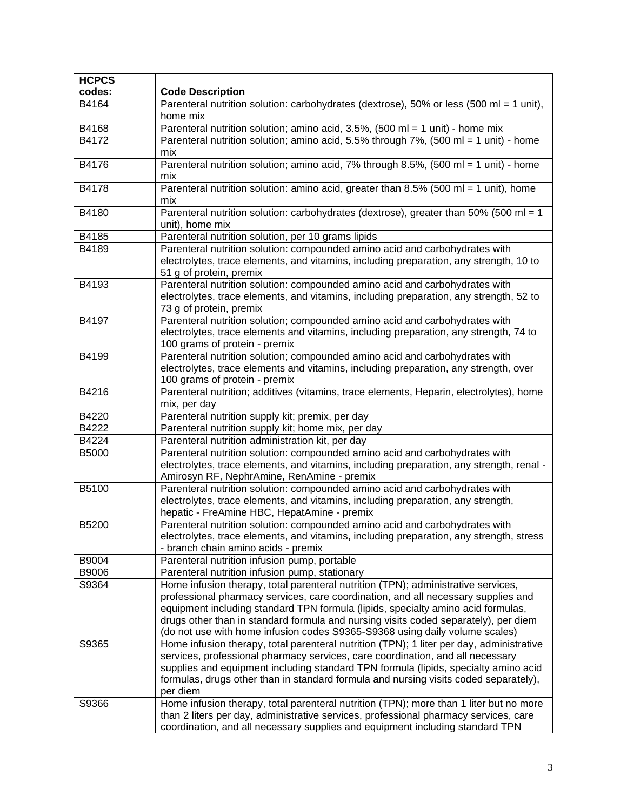| <b>HCPCS</b> |                                                                                                                                                                                                                                                                                                                                                                                                                                  |  |  |  |  |  |
|--------------|----------------------------------------------------------------------------------------------------------------------------------------------------------------------------------------------------------------------------------------------------------------------------------------------------------------------------------------------------------------------------------------------------------------------------------|--|--|--|--|--|
| codes:       | <b>Code Description</b>                                                                                                                                                                                                                                                                                                                                                                                                          |  |  |  |  |  |
| B4164        | Parenteral nutrition solution: carbohydrates (dextrose), 50% or less (500 ml = 1 unit),<br>home mix                                                                                                                                                                                                                                                                                                                              |  |  |  |  |  |
| B4168        | Parenteral nutrition solution; amino acid, $3.5\%$ , $(500 \text{ ml} = 1 \text{ unit})$ - home mix                                                                                                                                                                                                                                                                                                                              |  |  |  |  |  |
| B4172        | Parenteral nutrition solution; amino acid, 5.5% through 7%, (500 ml = 1 unit) - home<br>mix                                                                                                                                                                                                                                                                                                                                      |  |  |  |  |  |
| B4176        | Parenteral nutrition solution; amino acid, 7% through 8.5%, (500 ml = 1 unit) - home<br>mix                                                                                                                                                                                                                                                                                                                                      |  |  |  |  |  |
| B4178        | Parenteral nutrition solution: amino acid, greater than 8.5% (500 ml = 1 unit), home<br>mix                                                                                                                                                                                                                                                                                                                                      |  |  |  |  |  |
| B4180        | Parenteral nutrition solution: carbohydrates (dextrose), greater than 50% (500 ml = 1<br>unit), home mix                                                                                                                                                                                                                                                                                                                         |  |  |  |  |  |
| B4185        | Parenteral nutrition solution, per 10 grams lipids                                                                                                                                                                                                                                                                                                                                                                               |  |  |  |  |  |
| B4189        | Parenteral nutrition solution: compounded amino acid and carbohydrates with<br>electrolytes, trace elements, and vitamins, including preparation, any strength, 10 to<br>51 g of protein, premix                                                                                                                                                                                                                                 |  |  |  |  |  |
| B4193        | Parenteral nutrition solution: compounded amino acid and carbohydrates with<br>electrolytes, trace elements, and vitamins, including preparation, any strength, 52 to<br>73 g of protein, premix                                                                                                                                                                                                                                 |  |  |  |  |  |
| B4197        | Parenteral nutrition solution; compounded amino acid and carbohydrates with<br>electrolytes, trace elements and vitamins, including preparation, any strength, 74 to<br>100 grams of protein - premix                                                                                                                                                                                                                            |  |  |  |  |  |
| B4199        | Parenteral nutrition solution; compounded amino acid and carbohydrates with<br>electrolytes, trace elements and vitamins, including preparation, any strength, over<br>100 grams of protein - premix                                                                                                                                                                                                                             |  |  |  |  |  |
| B4216        | Parenteral nutrition; additives (vitamins, trace elements, Heparin, electrolytes), home<br>mix, per day                                                                                                                                                                                                                                                                                                                          |  |  |  |  |  |
| B4220        | Parenteral nutrition supply kit; premix, per day                                                                                                                                                                                                                                                                                                                                                                                 |  |  |  |  |  |
| B4222        | Parenteral nutrition supply kit; home mix, per day                                                                                                                                                                                                                                                                                                                                                                               |  |  |  |  |  |
| B4224        | Parenteral nutrition administration kit, per day                                                                                                                                                                                                                                                                                                                                                                                 |  |  |  |  |  |
| <b>B5000</b> | Parenteral nutrition solution: compounded amino acid and carbohydrates with<br>electrolytes, trace elements, and vitamins, including preparation, any strength, renal -<br>Amirosyn RF, NephrAmine, RenAmine - premix                                                                                                                                                                                                            |  |  |  |  |  |
| B5100        | Parenteral nutrition solution: compounded amino acid and carbohydrates with<br>electrolytes, trace elements, and vitamins, including preparation, any strength,<br>hepatic - FreAmine HBC, HepatAmine - premix                                                                                                                                                                                                                   |  |  |  |  |  |
| <b>B5200</b> | Parenteral nutrition solution: compounded amino acid and carbohydrates with<br>electrolytes, trace elements, and vitamins, including preparation, any strength, stress<br>- branch chain amino acids - premix                                                                                                                                                                                                                    |  |  |  |  |  |
| B9004        | Parenteral nutrition infusion pump, portable                                                                                                                                                                                                                                                                                                                                                                                     |  |  |  |  |  |
| B9006        | Parenteral nutrition infusion pump, stationary                                                                                                                                                                                                                                                                                                                                                                                   |  |  |  |  |  |
| S9364        | Home infusion therapy, total parenteral nutrition (TPN); administrative services,<br>professional pharmacy services, care coordination, and all necessary supplies and<br>equipment including standard TPN formula (lipids, specialty amino acid formulas,<br>drugs other than in standard formula and nursing visits coded separately), per diem<br>(do not use with home infusion codes S9365-S9368 using daily volume scales) |  |  |  |  |  |
| S9365        | Home infusion therapy, total parenteral nutrition (TPN); 1 liter per day, administrative<br>services, professional pharmacy services, care coordination, and all necessary<br>supplies and equipment including standard TPN formula (lipids, specialty amino acid<br>formulas, drugs other than in standard formula and nursing visits coded separately),<br>per diem                                                            |  |  |  |  |  |
| S9366        | Home infusion therapy, total parenteral nutrition (TPN); more than 1 liter but no more<br>than 2 liters per day, administrative services, professional pharmacy services, care<br>coordination, and all necessary supplies and equipment including standard TPN                                                                                                                                                                  |  |  |  |  |  |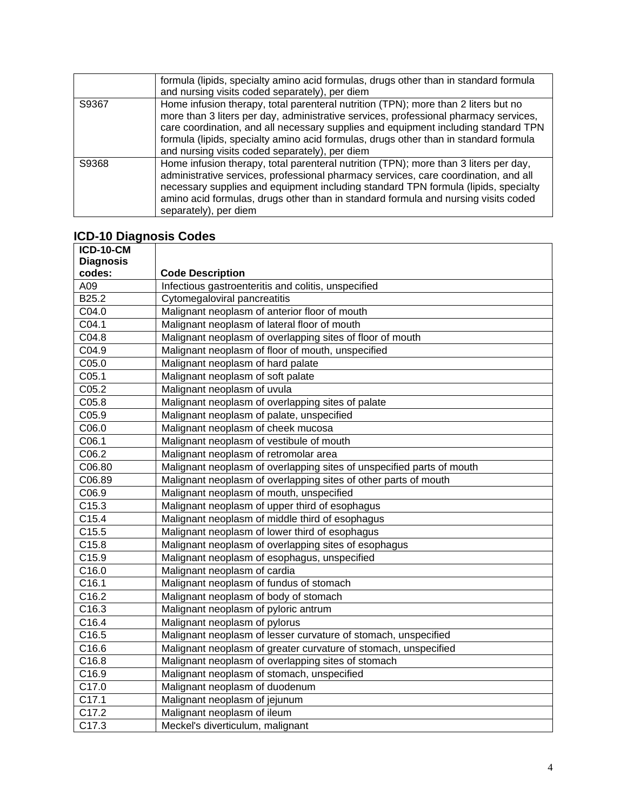|       | formula (lipids, specialty amino acid formulas, drugs other than in standard formula                                                                                                                                                                                                                                                                                             |  |  |  |  |  |  |
|-------|----------------------------------------------------------------------------------------------------------------------------------------------------------------------------------------------------------------------------------------------------------------------------------------------------------------------------------------------------------------------------------|--|--|--|--|--|--|
|       | and nursing visits coded separately), per diem                                                                                                                                                                                                                                                                                                                                   |  |  |  |  |  |  |
| S9367 | Home infusion therapy, total parenteral nutrition (TPN); more than 2 liters but no<br>more than 3 liters per day, administrative services, professional pharmacy services,<br>care coordination, and all necessary supplies and equipment including standard TPN<br>formula (lipids, specialty amino acid formulas, drugs other than in standard formula                         |  |  |  |  |  |  |
|       | and nursing visits coded separately), per diem                                                                                                                                                                                                                                                                                                                                   |  |  |  |  |  |  |
| S9368 | Home infusion therapy, total parenteral nutrition (TPN); more than 3 liters per day,<br>administrative services, professional pharmacy services, care coordination, and all<br>necessary supplies and equipment including standard TPN formula (lipids, specialty<br>amino acid formulas, drugs other than in standard formula and nursing visits coded<br>separately), per diem |  |  |  |  |  |  |

# **ICD-10 Diagnosis Codes**

| <b>ICD-10-CM</b>  |                                                                       |
|-------------------|-----------------------------------------------------------------------|
| <b>Diagnosis</b>  |                                                                       |
| codes:            | <b>Code Description</b>                                               |
| A09               | Infectious gastroenteritis and colitis, unspecified                   |
| B25.2             | Cytomegaloviral pancreatitis                                          |
| C04.0             | Malignant neoplasm of anterior floor of mouth                         |
| C04.1             | Malignant neoplasm of lateral floor of mouth                          |
| C04.8             | Malignant neoplasm of overlapping sites of floor of mouth             |
| C04.9             | Malignant neoplasm of floor of mouth, unspecified                     |
| C05.0             | Malignant neoplasm of hard palate                                     |
| C05.1             | Malignant neoplasm of soft palate                                     |
| C05.2             | Malignant neoplasm of uvula                                           |
| C05.8             | Malignant neoplasm of overlapping sites of palate                     |
| C05.9             | Malignant neoplasm of palate, unspecified                             |
| C06.0             | Malignant neoplasm of cheek mucosa                                    |
| C06.1             | Malignant neoplasm of vestibule of mouth                              |
| C06.2             | Malignant neoplasm of retromolar area                                 |
| C06.80            | Malignant neoplasm of overlapping sites of unspecified parts of mouth |
| C06.89            | Malignant neoplasm of overlapping sites of other parts of mouth       |
| C06.9             | Malignant neoplasm of mouth, unspecified                              |
| C15.3             | Malignant neoplasm of upper third of esophagus                        |
| C15.4             | Malignant neoplasm of middle third of esophagus                       |
| C15.5             | Malignant neoplasm of lower third of esophagus                        |
| C15.8             | Malignant neoplasm of overlapping sites of esophagus                  |
| C15.9             | Malignant neoplasm of esophagus, unspecified                          |
| C16.0             | Malignant neoplasm of cardia                                          |
| C <sub>16.1</sub> | Malignant neoplasm of fundus of stomach                               |
| C16.2             | Malignant neoplasm of body of stomach                                 |
| C16.3             | Malignant neoplasm of pyloric antrum                                  |
| C16.4             | Malignant neoplasm of pylorus                                         |
| C16.5             | Malignant neoplasm of lesser curvature of stomach, unspecified        |
| C16.6             | Malignant neoplasm of greater curvature of stomach, unspecified       |
| C16.8             | Malignant neoplasm of overlapping sites of stomach                    |
| C16.9             | Malignant neoplasm of stomach, unspecified                            |
| C17.0             | Malignant neoplasm of duodenum                                        |
| C17.1             | Malignant neoplasm of jejunum                                         |
| C17.2             | Malignant neoplasm of ileum                                           |
| C17.3             | Meckel's diverticulum, malignant                                      |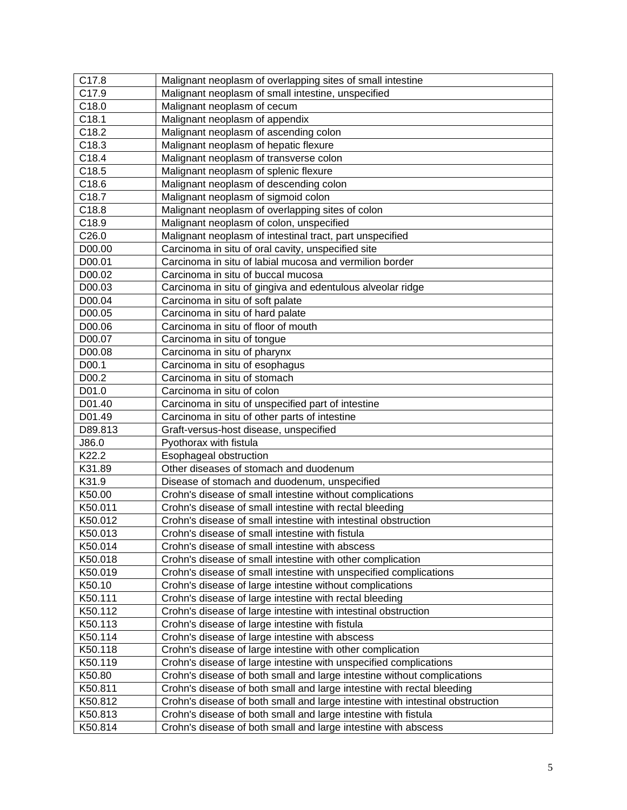| C17.8   | Malignant neoplasm of overlapping sites of small intestine                    |  |  |  |  |
|---------|-------------------------------------------------------------------------------|--|--|--|--|
| C17.9   | Malignant neoplasm of small intestine, unspecified                            |  |  |  |  |
| C18.0   | Malignant neoplasm of cecum                                                   |  |  |  |  |
| C18.1   | Malignant neoplasm of appendix                                                |  |  |  |  |
| C18.2   | Malignant neoplasm of ascending colon                                         |  |  |  |  |
| C18.3   | Malignant neoplasm of hepatic flexure                                         |  |  |  |  |
| C18.4   | Malignant neoplasm of transverse colon                                        |  |  |  |  |
| C18.5   | Malignant neoplasm of splenic flexure                                         |  |  |  |  |
| C18.6   | Malignant neoplasm of descending colon                                        |  |  |  |  |
| C18.7   | Malignant neoplasm of sigmoid colon                                           |  |  |  |  |
| C18.8   | Malignant neoplasm of overlapping sites of colon                              |  |  |  |  |
| C18.9   | Malignant neoplasm of colon, unspecified                                      |  |  |  |  |
| C26.0   | Malignant neoplasm of intestinal tract, part unspecified                      |  |  |  |  |
| D00.00  | Carcinoma in situ of oral cavity, unspecified site                            |  |  |  |  |
| D00.01  | Carcinoma in situ of labial mucosa and vermilion border                       |  |  |  |  |
| D00.02  | Carcinoma in situ of buccal mucosa                                            |  |  |  |  |
| D00.03  | Carcinoma in situ of gingiva and edentulous alveolar ridge                    |  |  |  |  |
| D00.04  | Carcinoma in situ of soft palate                                              |  |  |  |  |
| D00.05  | Carcinoma in situ of hard palate                                              |  |  |  |  |
| D00.06  | Carcinoma in situ of floor of mouth                                           |  |  |  |  |
| D00.07  | Carcinoma in situ of tongue                                                   |  |  |  |  |
| D00.08  | Carcinoma in situ of pharynx                                                  |  |  |  |  |
| D00.1   | Carcinoma in situ of esophagus                                                |  |  |  |  |
| D00.2   | Carcinoma in situ of stomach                                                  |  |  |  |  |
| D01.0   | Carcinoma in situ of colon                                                    |  |  |  |  |
| D01.40  | Carcinoma in situ of unspecified part of intestine                            |  |  |  |  |
| D01.49  | Carcinoma in situ of other parts of intestine                                 |  |  |  |  |
| D89.813 | Graft-versus-host disease, unspecified                                        |  |  |  |  |
| J86.0   | Pyothorax with fistula                                                        |  |  |  |  |
| K22.2   | Esophageal obstruction                                                        |  |  |  |  |
| K31.89  | Other diseases of stomach and duodenum                                        |  |  |  |  |
| K31.9   | Disease of stomach and duodenum, unspecified                                  |  |  |  |  |
| K50.00  | Crohn's disease of small intestine without complications                      |  |  |  |  |
| K50.011 | Crohn's disease of small intestine with rectal bleeding                       |  |  |  |  |
| K50.012 | Crohn's disease of small intestine with intestinal obstruction                |  |  |  |  |
| K50.013 | Crohn's disease of small intestine with fistula                               |  |  |  |  |
| K50.014 | Crohn's disease of small intestine with abscess                               |  |  |  |  |
| K50.018 | Crohn's disease of small intestine with other complication                    |  |  |  |  |
| K50.019 | Crohn's disease of small intestine with unspecified complications             |  |  |  |  |
| K50.10  | Crohn's disease of large intestine without complications                      |  |  |  |  |
| K50.111 | Crohn's disease of large intestine with rectal bleeding                       |  |  |  |  |
| K50.112 | Crohn's disease of large intestine with intestinal obstruction                |  |  |  |  |
| K50.113 | Crohn's disease of large intestine with fistula                               |  |  |  |  |
| K50.114 | Crohn's disease of large intestine with abscess                               |  |  |  |  |
| K50.118 | Crohn's disease of large intestine with other complication                    |  |  |  |  |
| K50.119 | Crohn's disease of large intestine with unspecified complications             |  |  |  |  |
| K50.80  | Crohn's disease of both small and large intestine without complications       |  |  |  |  |
| K50.811 | Crohn's disease of both small and large intestine with rectal bleeding        |  |  |  |  |
| K50.812 | Crohn's disease of both small and large intestine with intestinal obstruction |  |  |  |  |
| K50.813 | Crohn's disease of both small and large intestine with fistula                |  |  |  |  |
| K50.814 | Crohn's disease of both small and large intestine with abscess                |  |  |  |  |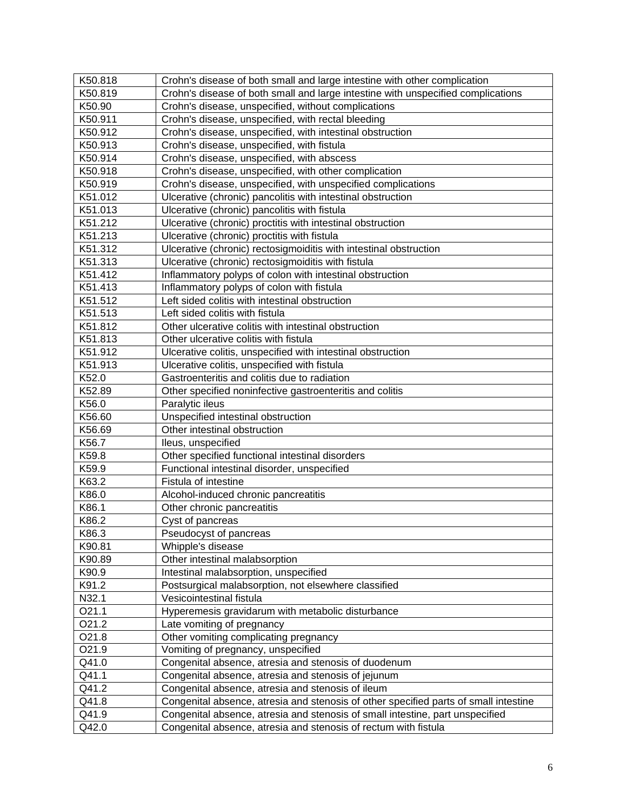| K50.818          | Crohn's disease of both small and large intestine with other complication            |  |  |  |  |  |  |
|------------------|--------------------------------------------------------------------------------------|--|--|--|--|--|--|
| K50.819          | Crohn's disease of both small and large intestine with unspecified complications     |  |  |  |  |  |  |
| K50.90           | Crohn's disease, unspecified, without complications                                  |  |  |  |  |  |  |
| K50.911          | Crohn's disease, unspecified, with rectal bleeding                                   |  |  |  |  |  |  |
| K50.912          | Crohn's disease, unspecified, with intestinal obstruction                            |  |  |  |  |  |  |
| K50.913          | Crohn's disease, unspecified, with fistula                                           |  |  |  |  |  |  |
| K50.914          | Crohn's disease, unspecified, with abscess                                           |  |  |  |  |  |  |
| K50.918          | Crohn's disease, unspecified, with other complication                                |  |  |  |  |  |  |
| K50.919          | Crohn's disease, unspecified, with unspecified complications                         |  |  |  |  |  |  |
| K51.012          | Ulcerative (chronic) pancolitis with intestinal obstruction                          |  |  |  |  |  |  |
| K51.013          | Ulcerative (chronic) pancolitis with fistula                                         |  |  |  |  |  |  |
| K51.212          | Ulcerative (chronic) proctitis with intestinal obstruction                           |  |  |  |  |  |  |
| K51.213          | Ulcerative (chronic) proctitis with fistula                                          |  |  |  |  |  |  |
| K51.312          | Ulcerative (chronic) rectosigmoiditis with intestinal obstruction                    |  |  |  |  |  |  |
| K51.313          | Ulcerative (chronic) rectosigmoiditis with fistula                                   |  |  |  |  |  |  |
| K51.412          | Inflammatory polyps of colon with intestinal obstruction                             |  |  |  |  |  |  |
| K51.413          | Inflammatory polyps of colon with fistula                                            |  |  |  |  |  |  |
| K51.512          | Left sided colitis with intestinal obstruction                                       |  |  |  |  |  |  |
| K51.513          | Left sided colitis with fistula                                                      |  |  |  |  |  |  |
| K51.812          | Other ulcerative colitis with intestinal obstruction                                 |  |  |  |  |  |  |
| K51.813          | Other ulcerative colitis with fistula                                                |  |  |  |  |  |  |
| K51.912          | Ulcerative colitis, unspecified with intestinal obstruction                          |  |  |  |  |  |  |
| K51.913          | Ulcerative colitis, unspecified with fistula                                         |  |  |  |  |  |  |
| K52.0            | Gastroenteritis and colitis due to radiation                                         |  |  |  |  |  |  |
| K52.89           | Other specified noninfective gastroenteritis and colitis                             |  |  |  |  |  |  |
| K56.0            | Paralytic ileus                                                                      |  |  |  |  |  |  |
| K56.60           | Unspecified intestinal obstruction                                                   |  |  |  |  |  |  |
| K56.69           | Other intestinal obstruction                                                         |  |  |  |  |  |  |
| K56.7            | lleus, unspecified                                                                   |  |  |  |  |  |  |
| K59.8            | Other specified functional intestinal disorders                                      |  |  |  |  |  |  |
| K59.9            | Functional intestinal disorder, unspecified                                          |  |  |  |  |  |  |
| K63.2            | Fistula of intestine                                                                 |  |  |  |  |  |  |
| K86.0            | Alcohol-induced chronic pancreatitis                                                 |  |  |  |  |  |  |
| K86.1            | Other chronic pancreatitis                                                           |  |  |  |  |  |  |
| K86.2            | Cyst of pancreas                                                                     |  |  |  |  |  |  |
| K86.3            | Pseudocyst of pancreas                                                               |  |  |  |  |  |  |
|                  |                                                                                      |  |  |  |  |  |  |
| K90.81<br>K90.89 | Whipple's disease<br>Other intestinal malabsorption                                  |  |  |  |  |  |  |
| K90.9            | Intestinal malabsorption, unspecified                                                |  |  |  |  |  |  |
| K91.2            | Postsurgical malabsorption, not elsewhere classified                                 |  |  |  |  |  |  |
| N32.1            | Vesicointestinal fistula                                                             |  |  |  |  |  |  |
| O21.1            | Hyperemesis gravidarum with metabolic disturbance                                    |  |  |  |  |  |  |
| O21.2            | Late vomiting of pregnancy                                                           |  |  |  |  |  |  |
|                  |                                                                                      |  |  |  |  |  |  |
| O21.8            | Other vomiting complicating pregnancy                                                |  |  |  |  |  |  |
| O21.9            | Vomiting of pregnancy, unspecified                                                   |  |  |  |  |  |  |
| Q41.0            | Congenital absence, atresia and stenosis of duodenum                                 |  |  |  |  |  |  |
| Q41.1            | Congenital absence, atresia and stenosis of jejunum                                  |  |  |  |  |  |  |
| Q41.2            | Congenital absence, atresia and stenosis of ileum                                    |  |  |  |  |  |  |
| Q41.8            | Congenital absence, atresia and stenosis of other specified parts of small intestine |  |  |  |  |  |  |
| Q41.9            | Congenital absence, atresia and stenosis of small intestine, part unspecified        |  |  |  |  |  |  |
| Q42.0            | Congenital absence, atresia and stenosis of rectum with fistula                      |  |  |  |  |  |  |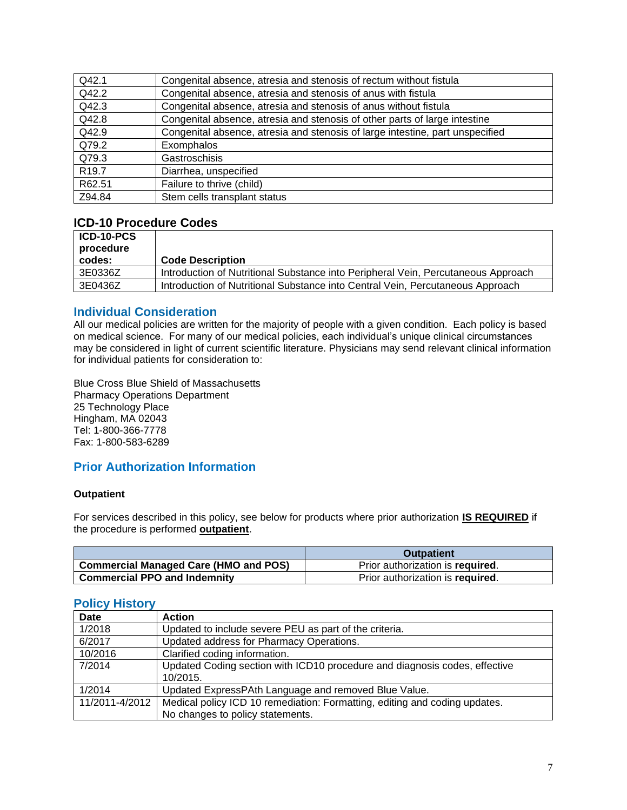| Q42.1             | Congenital absence, atresia and stenosis of rectum without fistula            |
|-------------------|-------------------------------------------------------------------------------|
| Q42.2             | Congenital absence, atresia and stenosis of anus with fistula                 |
| Q42.3             | Congenital absence, atresia and stenosis of anus without fistula              |
| Q42.8             | Congenital absence, atresia and stenosis of other parts of large intestine    |
| Q42.9             | Congenital absence, atresia and stenosis of large intestine, part unspecified |
| Q79.2             | <b>Exomphalos</b>                                                             |
| Q79.3             | Gastroschisis                                                                 |
| R <sub>19.7</sub> | Diarrhea, unspecified                                                         |
| R62.51            | Failure to thrive (child)                                                     |
| Z94.84            | Stem cells transplant status                                                  |

### **ICD-10 Procedure Codes**

| <b>ICD-10-PCS</b><br>procedure |                                                                                   |
|--------------------------------|-----------------------------------------------------------------------------------|
| codes:                         | <b>Code Description</b>                                                           |
| 3E0336Z                        | Introduction of Nutritional Substance into Peripheral Vein, Percutaneous Approach |
| 3E0436Z                        | Introduction of Nutritional Substance into Central Vein, Percutaneous Approach    |

### <span id="page-6-0"></span>**Individual Consideration**

All our medical policies are written for the majority of people with a given condition. Each policy is based on medical science. For many of our medical policies, each individual's unique clinical circumstances may be considered in light of current scientific literature. Physicians may send relevant clinical information for individual patients for consideration to:

Blue Cross Blue Shield of Massachusetts Pharmacy Operations Department 25 Technology Place Hingham, MA 02043 Tel: 1-800-366-7778 Fax: 1-800-583-6289

### <span id="page-6-1"></span>**Prior Authorization Information**

#### **Outpatient**

For services described in this policy, see below for products where prior authorization **IS REQUIRED** if the procedure is performed **outpatient**.

|                                       | <b>Outpatient</b>                |
|---------------------------------------|----------------------------------|
| Commercial Managed Care (HMO and POS) | Prior authorization is required. |
| <b>Commercial PPO and Indemnity</b>   | Prior authorization is required. |

### **Policy History**

| <b>Date</b>    | <b>Action</b>                                                              |  |  |  |
|----------------|----------------------------------------------------------------------------|--|--|--|
| 1/2018         | Updated to include severe PEU as part of the criteria.                     |  |  |  |
| 6/2017         | Updated address for Pharmacy Operations.                                   |  |  |  |
| 10/2016        | Clarified coding information.                                              |  |  |  |
| 7/2014         | Updated Coding section with ICD10 procedure and diagnosis codes, effective |  |  |  |
|                | 10/2015.                                                                   |  |  |  |
| 1/2014         | Updated ExpressPAth Language and removed Blue Value.                       |  |  |  |
| 11/2011-4/2012 | Medical policy ICD 10 remediation: Formatting, editing and coding updates. |  |  |  |
|                | No changes to policy statements.                                           |  |  |  |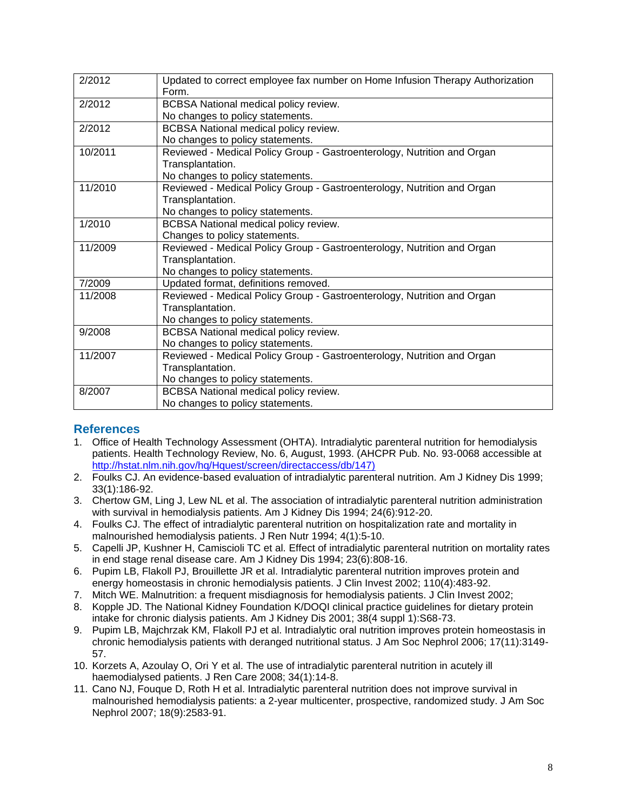| 2/2012  | Updated to correct employee fax number on Home Infusion Therapy Authorization<br>Form. |  |  |  |  |  |  |
|---------|----------------------------------------------------------------------------------------|--|--|--|--|--|--|
| 2/2012  | <b>BCBSA National medical policy review.</b>                                           |  |  |  |  |  |  |
|         | No changes to policy statements.                                                       |  |  |  |  |  |  |
| 2/2012  | <b>BCBSA National medical policy review.</b>                                           |  |  |  |  |  |  |
|         | No changes to policy statements.                                                       |  |  |  |  |  |  |
| 10/2011 | Reviewed - Medical Policy Group - Gastroenterology, Nutrition and Organ                |  |  |  |  |  |  |
|         | Transplantation.                                                                       |  |  |  |  |  |  |
|         | No changes to policy statements.                                                       |  |  |  |  |  |  |
| 11/2010 | Reviewed - Medical Policy Group - Gastroenterology, Nutrition and Organ                |  |  |  |  |  |  |
|         | Transplantation.                                                                       |  |  |  |  |  |  |
|         | No changes to policy statements.                                                       |  |  |  |  |  |  |
| 1/2010  | <b>BCBSA National medical policy review.</b>                                           |  |  |  |  |  |  |
|         | Changes to policy statements.                                                          |  |  |  |  |  |  |
| 11/2009 | Reviewed - Medical Policy Group - Gastroenterology, Nutrition and Organ                |  |  |  |  |  |  |
|         | Transplantation.                                                                       |  |  |  |  |  |  |
|         | No changes to policy statements.                                                       |  |  |  |  |  |  |
| 7/2009  | Updated format, definitions removed.                                                   |  |  |  |  |  |  |
| 11/2008 | Reviewed - Medical Policy Group - Gastroenterology, Nutrition and Organ                |  |  |  |  |  |  |
|         | Transplantation.                                                                       |  |  |  |  |  |  |
|         | No changes to policy statements.                                                       |  |  |  |  |  |  |
| 9/2008  | BCBSA National medical policy review.                                                  |  |  |  |  |  |  |
|         | No changes to policy statements.                                                       |  |  |  |  |  |  |
| 11/2007 | Reviewed - Medical Policy Group - Gastroenterology, Nutrition and Organ                |  |  |  |  |  |  |
|         | Transplantation.                                                                       |  |  |  |  |  |  |
|         | No changes to policy statements.                                                       |  |  |  |  |  |  |
| 8/2007  | <b>BCBSA National medical policy review.</b>                                           |  |  |  |  |  |  |
|         | No changes to policy statements.                                                       |  |  |  |  |  |  |

### <span id="page-7-0"></span>**References**

- 1. Office of Health Technology Assessment (OHTA). Intradialytic parenteral nutrition for hemodialysis patients. Health Technology Review, No. 6, August, 1993. (AHCPR Pub. No. 93-0068 accessible at [http://hstat.nlm.nih.gov/hq/Hquest/screen/directaccess/db/147\)](http://hstat.nlm.nih.gov/hq/Hquest/screen/directaccess/db/147))
- 2. Foulks CJ. An evidence-based evaluation of intradialytic parenteral nutrition. Am J Kidney Dis 1999; 33(1):186-92.
- 3. Chertow GM, Ling J, Lew NL et al. The association of intradialytic parenteral nutrition administration with survival in hemodialysis patients. Am J Kidney Dis 1994; 24(6):912-20.
- 4. Foulks CJ. The effect of intradialytic parenteral nutrition on hospitalization rate and mortality in malnourished hemodialysis patients. J Ren Nutr 1994; 4(1):5-10.
- 5. Capelli JP, Kushner H, Camiscioli TC et al. Effect of intradialytic parenteral nutrition on mortality rates in end stage renal disease care. Am J Kidney Dis 1994; 23(6):808-16.
- 6. Pupim LB, Flakoll PJ, Brouillette JR et al. Intradialytic parenteral nutrition improves protein and energy homeostasis in chronic hemodialysis patients. J Clin Invest 2002; 110(4):483-92.
- 7. Mitch WE. Malnutrition: a frequent misdiagnosis for hemodialysis patients. J Clin Invest 2002;
- 8. Kopple JD. The National Kidney Foundation K/DOQI clinical practice guidelines for dietary protein intake for chronic dialysis patients. Am J Kidney Dis 2001; 38(4 suppl 1):S68-73.
- 9. Pupim LB, Majchrzak KM, Flakoll PJ et al. Intradialytic oral nutrition improves protein homeostasis in chronic hemodialysis patients with deranged nutritional status. J Am Soc Nephrol 2006; 17(11):3149- 57.
- 10. Korzets A, Azoulay O, Ori Y et al. The use of intradialytic parenteral nutrition in acutely ill haemodialysed patients. J Ren Care 2008; 34(1):14-8.
- 11. Cano NJ, Fouque D, Roth H et al. Intradialytic parenteral nutrition does not improve survival in malnourished hemodialysis patients: a 2-year multicenter, prospective, randomized study. J Am Soc Nephrol 2007; 18(9):2583-91.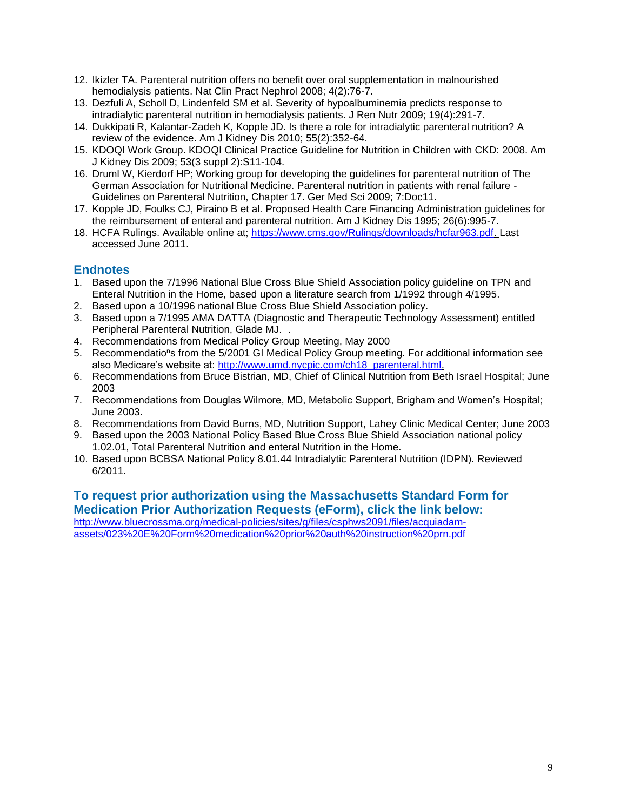- 12. Ikizler TA. Parenteral nutrition offers no benefit over oral supplementation in malnourished hemodialysis patients. Nat Clin Pract Nephrol 2008; 4(2):76-7.
- 13. Dezfuli A, Scholl D, Lindenfeld SM et al. Severity of hypoalbuminemia predicts response to intradialytic parenteral nutrition in hemodialysis patients. J Ren Nutr 2009; 19(4):291-7.
- 14. Dukkipati R, Kalantar-Zadeh K, Kopple JD. Is there a role for intradialytic parenteral nutrition? A review of the evidence. Am J Kidney Dis 2010; 55(2):352-64.
- 15. KDOQI Work Group. KDOQI Clinical Practice Guideline for Nutrition in Children with CKD: 2008. Am J Kidney Dis 2009; 53(3 suppl 2):S11-104.
- 16. Druml W, Kierdorf HP; Working group for developing the guidelines for parenteral nutrition of The German Association for Nutritional Medicine. Parenteral nutrition in patients with renal failure - Guidelines on Parenteral Nutrition, Chapter 17. Ger Med Sci 2009; 7:Doc11.
- 17. Kopple JD, Foulks CJ, Piraino B et al. Proposed Health Care Financing Administration guidelines for the reimbursement of enteral and parenteral nutrition. Am J Kidney Dis 1995; 26(6):995-7.
- 18. HCFA Rulings. Available online at; [https://www.cms.gov/Rulings/downloads/hcfar963.pdf.](https://www.cms.gov/Rulings/downloads/hcfar963.pdf) Last accessed June 2011.

### <span id="page-8-0"></span>**Endnotes**

- 1. Based upon the 7/1996 National Blue Cross Blue Shield Association policy guideline on TPN and Enteral Nutrition in the Home, based upon a literature search from 1/1992 through 4/1995.
- 2. Based upon a 10/1996 national Blue Cross Blue Shield Association policy.
- 3. Based upon a 7/1995 AMA DATTA (Diagnostic and Therapeutic Technology Assessment) entitled Peripheral Parenteral Nutrition, Glade MJ. .
- 4. Recommendations from Medical Policy Group Meeting, May 2000
- 5. Recommendatio<sup>n</sup>s from the 5/2001 GI Medical Policy Group meeting. For additional information see also Medicare's website at: [http://www.umd.nycpic.com/ch18\\_parenteral.html.](http://www.umd.nycpic.com/ch18_parenteral.html)
- 6. Recommendations from Bruce Bistrian, MD, Chief of Clinical Nutrition from Beth Israel Hospital; June 2003
- 7. Recommendations from Douglas Wilmore, MD, Metabolic Support, Brigham and Women's Hospital; June 2003.
- 8. Recommendations from David Burns, MD, Nutrition Support, Lahey Clinic Medical Center; June 2003
- 9. Based upon the 2003 National Policy Based Blue Cross Blue Shield Association national policy 1.02.01, Total Parenteral Nutrition and enteral Nutrition in the Home.
- 10. Based upon BCBSA National Policy 8.01.44 Intradialytic Parenteral Nutrition (IDPN). Reviewed 6/2011.

### **To request prior authorization using the Massachusetts Standard Form for Medication Prior Authorization Requests (eForm), click the link below:**

[http://www.bluecrossma.org/medical-policies/sites/g/files/csphws2091/files/acquiadam](http://www.bluecrossma.org/medical-policies/sites/g/files/csphws2091/files/acquiadam-assets/023%20E%20Form%20medication%20prior%20auth%20instruction%20prn.pdf)[assets/023%20E%20Form%20medication%20prior%20auth%20instruction%20prn.pdf](http://www.bluecrossma.org/medical-policies/sites/g/files/csphws2091/files/acquiadam-assets/023%20E%20Form%20medication%20prior%20auth%20instruction%20prn.pdf)